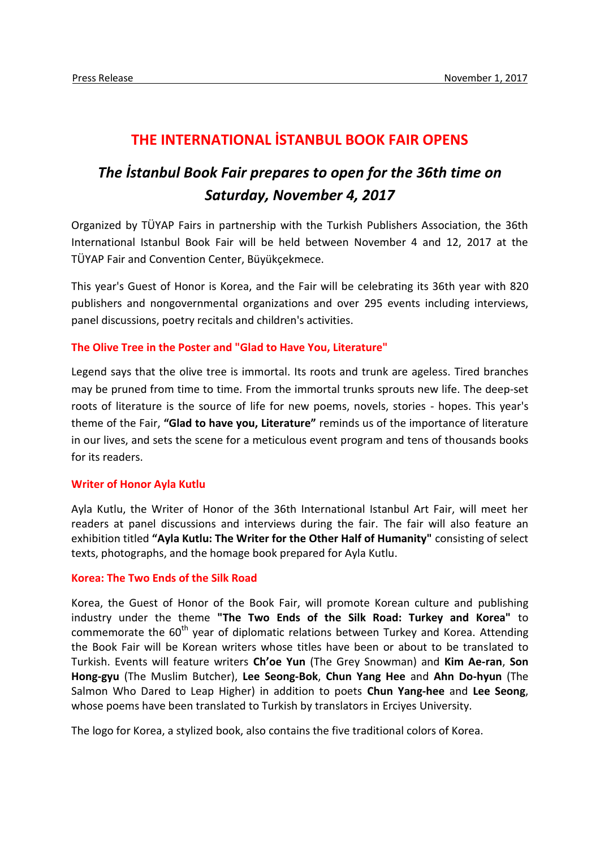## **THE INTERNATIONAL İSTANBUL BOOK FAIR OPENS**

# *The İstanbul Book Fair prepares to open for the 36th time on Saturday, November 4, 2017*

Organized by TÜYAP Fairs in partnership with the Turkish Publishers Association, the 36th International Istanbul Book Fair will be held between November 4 and 12, 2017 at the TÜYAP Fair and Convention Center, Büyükçekmece.

This year's Guest of Honor is Korea, and the Fair will be celebrating its 36th year with 820 publishers and nongovernmental organizations and over 295 events including interviews, panel discussions, poetry recitals and children's activities.

#### **The Olive Tree in the Poster and "Glad to Have You, Literature"**

Legend says that the olive tree is immortal. Its roots and trunk are ageless. Tired branches may be pruned from time to time. From the immortal trunks sprouts new life. The deep-set roots of literature is the source of life for new poems, novels, stories - hopes. This year's theme of the Fair, **"Glad to have you, Literature"** reminds us of the importance of literature in our lives, and sets the scene for a meticulous event program and tens of thousands books for its readers.

#### **Writer of Honor Ayla Kutlu**

Ayla Kutlu, the Writer of Honor of the 36th International Istanbul Art Fair, will meet her readers at panel discussions and interviews during the fair. The fair will also feature an exhibition titled **"Ayla Kutlu: The Writer for the Other Half of Humanity"** consisting of select texts, photographs, and the homage book prepared for Ayla Kutlu.

#### **Korea: The Two Ends of the Silk Road**

Korea, the Guest of Honor of the Book Fair, will promote Korean culture and publishing industry under the theme **"The Two Ends of the Silk Road: Turkey and Korea"** to commemorate the  $60<sup>th</sup>$  year of diplomatic relations between Turkey and Korea. Attending the Book Fair will be Korean writers whose titles have been or about to be translated to Turkish. Events will feature writers **Ch'oe Yun** (The Grey Snowman) and **Kim Ae-ran**, **Son Hong-gyu** (The Muslim Butcher), **Lee Seong-Bok**, **Chun Yang Hee** and **Ahn Do-hyun** (The Salmon Who Dared to Leap Higher) in addition to poets **Chun Yang-hee** and **Lee Seong**, whose poems have been translated to Turkish by translators in Erciyes University.

The logo for Korea, a stylized book, also contains the five traditional colors of Korea.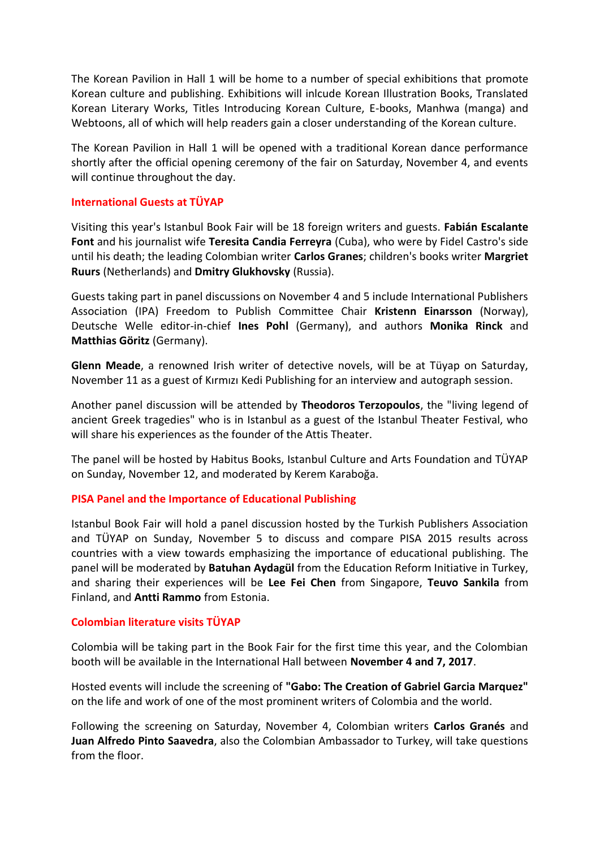The Korean Pavilion in Hall 1 will be home to a number of special exhibitions that promote Korean culture and publishing. Exhibitions will inlcude Korean Illustration Books, Translated Korean Literary Works, Titles Introducing Korean Culture, E-books, Manhwa (manga) and Webtoons, all of which will help readers gain a closer understanding of the Korean culture.

The Korean Pavilion in Hall 1 will be opened with a traditional Korean dance performance shortly after the official opening ceremony of the fair on Saturday, November 4, and events will continue throughout the day.

## **International Guests at TÜYAP**

Visiting this year's Istanbul Book Fair will be 18 foreign writers and guests. **Fabián Escalante Font** and his journalist wife **Teresita Candia Ferreyra** (Cuba), who were by Fidel Castro's side until his death; the leading Colombian writer **Carlos Granes**; children's books writer **Margriet Ruurs** (Netherlands) and **Dmitry Glukhovsky** (Russia).

Guests taking part in panel discussions on November 4 and 5 include International Publishers Association (IPA) Freedom to Publish Committee Chair **Kristenn Einarsson** (Norway), Deutsche Welle editor-in-chief **Ines Pohl** (Germany), and authors **Monika Rinck** and **Matthias Göritz** (Germany).

**Glenn Meade**, a renowned Irish writer of detective novels, will be at Tüyap on Saturday, November 11 as a guest of Kırmızı Kedi Publishing for an interview and autograph session.

Another panel discussion will be attended by **Theodoros Terzopoulos**, the "living legend of ancient Greek tragedies" who is in Istanbul as a guest of the Istanbul Theater Festival, who will share his experiences as the founder of the Attis Theater.

The panel will be hosted by Habitus Books, Istanbul Culture and Arts Foundation and TÜYAP on Sunday, November 12, and moderated by Kerem Karaboğa.

## **PISA Panel and the Importance of Educational Publishing**

Istanbul Book Fair will hold a panel discussion hosted by the Turkish Publishers Association and TÜYAP on Sunday, November 5 to discuss and compare PISA 2015 results across countries with a view towards emphasizing the importance of educational publishing. The panel will be moderated by **Batuhan Aydagül** from the Education Reform Initiative in Turkey, and sharing their experiences will be **Lee Fei Chen** from Singapore, **Teuvo Sankila** from Finland, and **Antti Rammo** from Estonia.

## **Colombian literature visits TÜYAP**

Colombia will be taking part in the Book Fair for the first time this year, and the Colombian booth will be available in the International Hall between **November 4 and 7, 2017**.

Hosted events will include the screening of **"Gabo: The Creation of Gabriel Garcia Marquez"** on the life and work of one of the most prominent writers of Colombia and the world.

Following the screening on Saturday, November 4, Colombian writers **Carlos Granés** and **Juan Alfredo Pinto Saavedra**, also the Colombian Ambassador to Turkey, will take questions from the floor.